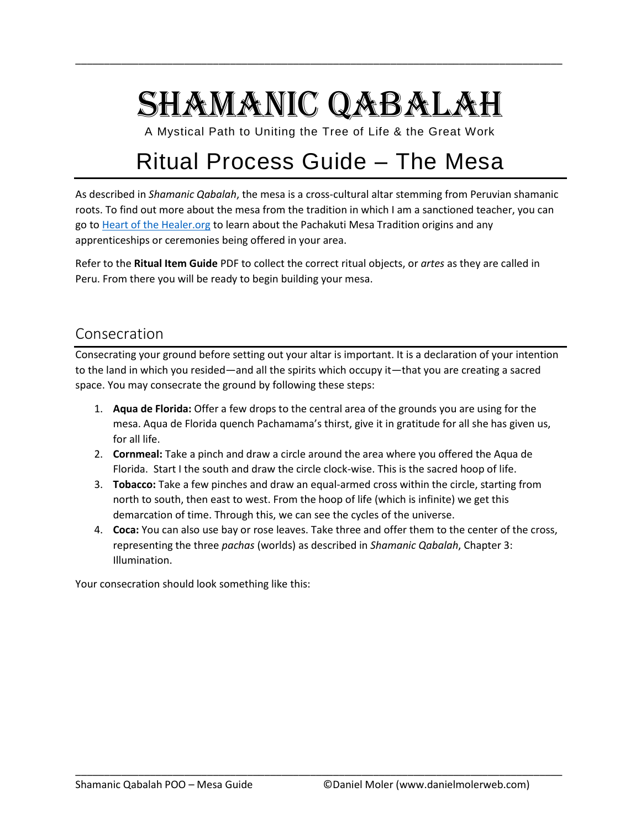# SHAMANIC QABALAH

\_\_\_\_\_\_\_\_\_\_\_\_\_\_\_\_\_\_\_\_\_\_\_\_\_\_\_\_\_\_\_\_\_\_\_\_\_\_\_\_\_\_\_\_\_\_\_\_\_\_\_\_\_\_\_\_\_\_\_\_\_\_\_\_\_\_\_\_\_\_\_\_\_\_\_\_\_\_\_\_\_\_\_\_\_

A Mystical Path to Uniting the Tree of Life & the Great Work

## Ritual Process Guide – The Mesa

As described in *Shamanic Qabalah*, the mesa is a cross-cultural altar stemming from Peruvian shamanic roots. To find out more about the mesa from the tradition in which I am a sanctioned teacher, you can go to [Heart of the Healer.org](https://heartofthehealer.org/) to learn about the Pachakuti Mesa Tradition origins and any apprenticeships or ceremonies being offered in your area.

Refer to the **Ritual Item Guide** PDF to collect the correct ritual objects, or *artes* as they are called in Peru. From there you will be ready to begin building your mesa.

#### Consecration

Consecrating your ground before setting out your altar is important. It is a declaration of your intention to the land in which you resided—and all the spirits which occupy it—that you are creating a sacred space. You may consecrate the ground by following these steps:

- 1. **Aqua de Florida:** Offer a few drops to the central area of the grounds you are using for the mesa. Aqua de Florida quench Pachamama's thirst, give it in gratitude for all she has given us, for all life.
- 2. **Cornmeal:** Take a pinch and draw a circle around the area where you offered the Aqua de Florida. Start I the south and draw the circle clock-wise. This is the sacred hoop of life.
- 3. **Tobacco:** Take a few pinches and draw an equal-armed cross within the circle, starting from north to south, then east to west. From the hoop of life (which is infinite) we get this demarcation of time. Through this, we can see the cycles of the universe.
- 4. **Coca:** You can also use bay or rose leaves. Take three and offer them to the center of the cross, representing the three *pachas* (worlds) as described in *Shamanic Qabalah*, Chapter 3: Illumination.

\_\_\_\_\_\_\_\_\_\_\_\_\_\_\_\_\_\_\_\_\_\_\_\_\_\_\_\_\_\_\_\_\_\_\_\_\_\_\_\_\_\_\_\_\_\_\_\_\_\_\_\_\_\_\_\_\_\_\_\_\_\_\_\_\_\_\_\_\_\_\_\_\_\_\_\_\_\_\_\_\_\_\_\_\_

Your consecration should look something like this: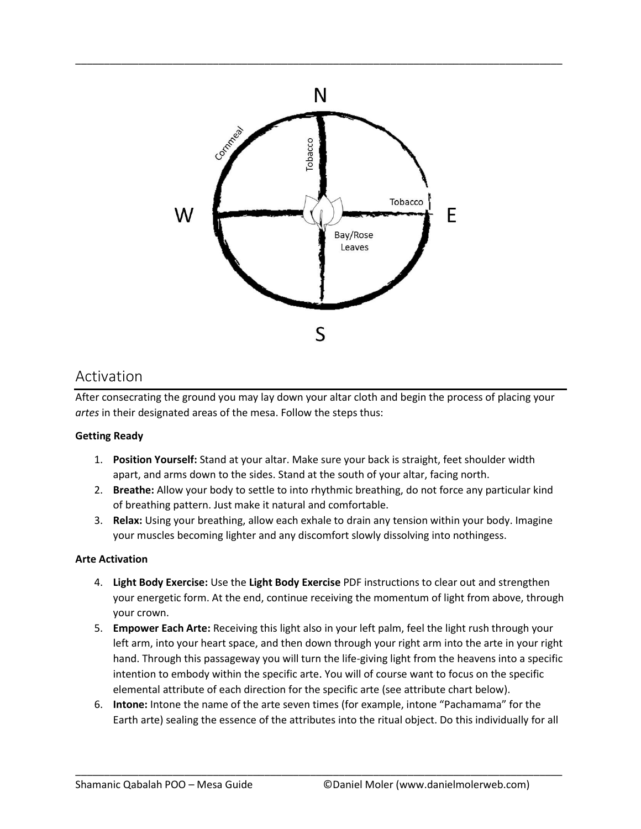

\_\_\_\_\_\_\_\_\_\_\_\_\_\_\_\_\_\_\_\_\_\_\_\_\_\_\_\_\_\_\_\_\_\_\_\_\_\_\_\_\_\_\_\_\_\_\_\_\_\_\_\_\_\_\_\_\_\_\_\_\_\_\_\_\_\_\_\_\_\_\_\_\_\_\_\_\_\_\_\_\_\_\_\_\_

### Activation

After consecrating the ground you may lay down your altar cloth and begin the process of placing your *artes* in their designated areas of the mesa. Follow the steps thus:

#### **Getting Ready**

- 1. **Position Yourself:** Stand at your altar. Make sure your back is straight, feet shoulder width apart, and arms down to the sides. Stand at the south of your altar, facing north.
- 2. **Breathe:** Allow your body to settle to into rhythmic breathing, do not force any particular kind of breathing pattern. Just make it natural and comfortable.
- 3. **Relax:** Using your breathing, allow each exhale to drain any tension within your body. Imagine your muscles becoming lighter and any discomfort slowly dissolving into nothingess.

#### **Arte Activation**

- 4. **Light Body Exercise:** Use the **Light Body Exercise** PDF instructions to clear out and strengthen your energetic form. At the end, continue receiving the momentum of light from above, through your crown.
- 5. **Empower Each Arte:** Receiving this light also in your left palm, feel the light rush through your left arm, into your heart space, and then down through your right arm into the arte in your right hand. Through this passageway you will turn the life-giving light from the heavens into a specific intention to embody within the specific arte. You will of course want to focus on the specific elemental attribute of each direction for the specific arte (see attribute chart below).
- 6. **Intone:** Intone the name of the arte seven times (for example, intone "Pachamama" for the Earth arte) sealing the essence of the attributes into the ritual object. Do this individually for all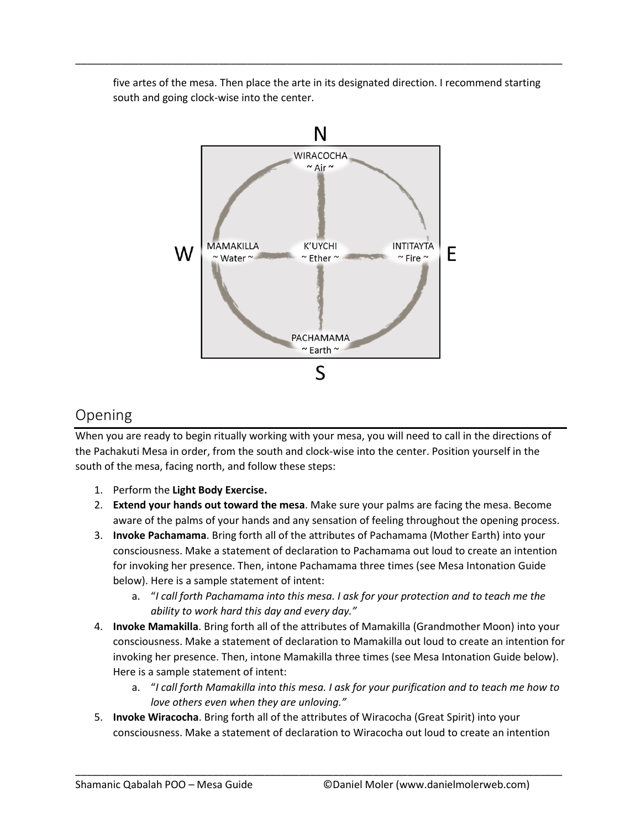five artes of the mesa. Then place the arte in its designated direction. I recommend starting south and going clock-wise into the center.

\_\_\_\_\_\_\_\_\_\_\_\_\_\_\_\_\_\_\_\_\_\_\_\_\_\_\_\_\_\_\_\_\_\_\_\_\_\_\_\_\_\_\_\_\_\_\_\_\_\_\_\_\_\_\_\_\_\_\_\_\_\_\_\_\_\_\_\_\_\_\_\_\_\_\_\_\_\_\_\_\_\_\_\_\_



#### Opening

When you are ready to begin ritually working with your mesa, you will need to call in the directions of the Pachakuti Mesa in order, from the south and clock-wise into the center. Position yourself in the south of the mesa, facing north, and follow these steps:

- 1. Perform the **Light Body Exercise.**
- 2. **Extend your hands out toward the mesa**. Make sure your palms are facing the mesa. Become aware of the palms of your hands and any sensation of feeling throughout the opening process.
- 3. **Invoke Pachamama**. Bring forth all of the attributes of Pachamama (Mother Earth) into your consciousness. Make a statement of declaration to Pachamama out loud to create an intention for invoking her presence. Then, intone Pachamama three times (see Mesa Intonation Guide below). Here is a sample statement of intent:
	- a. "*I call forth Pachamama into this mesa. I ask for your protection and to teach me the ability to work hard this day and every day."*
- 4. **Invoke Mamakilla**. Bring forth all of the attributes of Mamakilla (Grandmother Moon) into your consciousness. Make a statement of declaration to Mamakilla out loud to create an intention for invoking her presence. Then, intone Mamakilla three times (see Mesa Intonation Guide below). Here is a sample statement of intent:
	- a. "*I call forth Mamakilla into this mesa. I ask for your purification and to teach me how to love others even when they are unloving."*
- 5. **Invoke Wiracocha**. Bring forth all of the attributes of Wiracocha (Great Spirit) into your consciousness. Make a statement of declaration to Wiracocha out loud to create an intention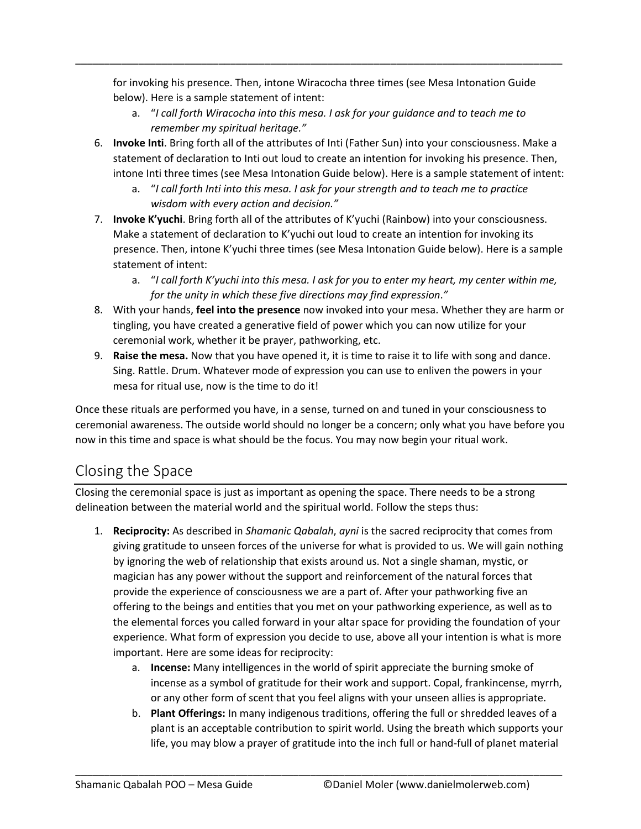for invoking his presence. Then, intone Wiracocha three times (see Mesa Intonation Guide below). Here is a sample statement of intent:

\_\_\_\_\_\_\_\_\_\_\_\_\_\_\_\_\_\_\_\_\_\_\_\_\_\_\_\_\_\_\_\_\_\_\_\_\_\_\_\_\_\_\_\_\_\_\_\_\_\_\_\_\_\_\_\_\_\_\_\_\_\_\_\_\_\_\_\_\_\_\_\_\_\_\_\_\_\_\_\_\_\_\_\_\_

- a. "*I call forth Wiracocha into this mesa. I ask for your guidance and to teach me to remember my spiritual heritage."*
- 6. **Invoke Inti**. Bring forth all of the attributes of Inti (Father Sun) into your consciousness. Make a statement of declaration to Inti out loud to create an intention for invoking his presence. Then, intone Inti three times (see Mesa Intonation Guide below). Here is a sample statement of intent:
	- a. "*I call forth Inti into this mesa. I ask for your strength and to teach me to practice wisdom with every action and decision."*
- 7. **Invoke K'yuchi**. Bring forth all of the attributes of K'yuchi (Rainbow) into your consciousness. Make a statement of declaration to K'yuchi out loud to create an intention for invoking its presence. Then, intone K'yuchi three times (see Mesa Intonation Guide below). Here is a sample statement of intent:
	- a. "*I call forth K'yuchi into this mesa. I ask for you to enter my heart, my center within me, for the unity in which these five directions may find expression*.*"*
- 8. With your hands, **feel into the presence** now invoked into your mesa. Whether they are harm or tingling, you have created a generative field of power which you can now utilize for your ceremonial work, whether it be prayer, pathworking, etc.
- 9. **Raise the mesa.** Now that you have opened it, it is time to raise it to life with song and dance. Sing. Rattle. Drum. Whatever mode of expression you can use to enliven the powers in your mesa for ritual use, now is the time to do it!

Once these rituals are performed you have, in a sense, turned on and tuned in your consciousness to ceremonial awareness. The outside world should no longer be a concern; only what you have before you now in this time and space is what should be the focus. You may now begin your ritual work.

## Closing the Space

Closing the ceremonial space is just as important as opening the space. There needs to be a strong delineation between the material world and the spiritual world. Follow the steps thus:

- 1. **Reciprocity:** As described in *Shamanic Qabalah*, *ayni* is the sacred reciprocity that comes from giving gratitude to unseen forces of the universe for what is provided to us. We will gain nothing by ignoring the web of relationship that exists around us. Not a single shaman, mystic, or magician has any power without the support and reinforcement of the natural forces that provide the experience of consciousness we are a part of. After your pathworking five an offering to the beings and entities that you met on your pathworking experience, as well as to the elemental forces you called forward in your altar space for providing the foundation of your experience. What form of expression you decide to use, above all your intention is what is more important. Here are some ideas for reciprocity:
	- a. **Incense:** Many intelligences in the world of spirit appreciate the burning smoke of incense as a symbol of gratitude for their work and support. Copal, frankincense, myrrh, or any other form of scent that you feel aligns with your unseen allies is appropriate.
	- b. **Plant Offerings:** In many indigenous traditions, offering the full or shredded leaves of a plant is an acceptable contribution to spirit world. Using the breath which supports your life, you may blow a prayer of gratitude into the inch full or hand-full of planet material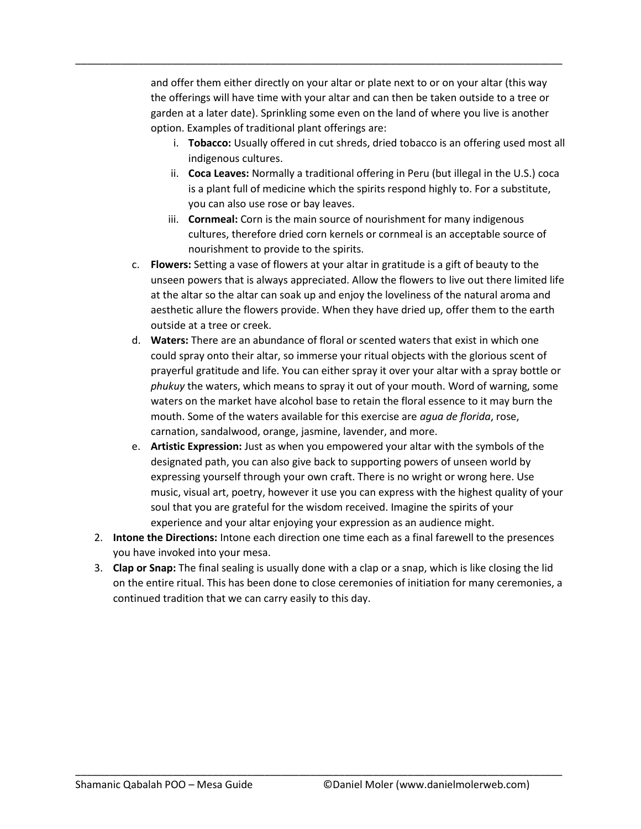and offer them either directly on your altar or plate next to or on your altar (this way the offerings will have time with your altar and can then be taken outside to a tree or garden at a later date). Sprinkling some even on the land of where you live is another option. Examples of traditional plant offerings are:

\_\_\_\_\_\_\_\_\_\_\_\_\_\_\_\_\_\_\_\_\_\_\_\_\_\_\_\_\_\_\_\_\_\_\_\_\_\_\_\_\_\_\_\_\_\_\_\_\_\_\_\_\_\_\_\_\_\_\_\_\_\_\_\_\_\_\_\_\_\_\_\_\_\_\_\_\_\_\_\_\_\_\_\_\_

- i. **Tobacco:** Usually offered in cut shreds, dried tobacco is an offering used most all indigenous cultures.
- ii. **Coca Leaves:** Normally a traditional offering in Peru (but illegal in the U.S.) coca is a plant full of medicine which the spirits respond highly to. For a substitute, you can also use rose or bay leaves.
- iii. **Cornmeal:** Corn is the main source of nourishment for many indigenous cultures, therefore dried corn kernels or cornmeal is an acceptable source of nourishment to provide to the spirits.
- c. **Flowers:** Setting a vase of flowers at your altar in gratitude is a gift of beauty to the unseen powers that is always appreciated. Allow the flowers to live out there limited life at the altar so the altar can soak up and enjoy the loveliness of the natural aroma and aesthetic allure the flowers provide. When they have dried up, offer them to the earth outside at a tree or creek.
- d. **Waters:** There are an abundance of floral or scented waters that exist in which one could spray onto their altar, so immerse your ritual objects with the glorious scent of prayerful gratitude and life. You can either spray it over your altar with a spray bottle or *phukuy* the waters, which means to spray it out of your mouth. Word of warning, some waters on the market have alcohol base to retain the floral essence to it may burn the mouth. Some of the waters available for this exercise are *agua de florida*, rose, carnation, sandalwood, orange, jasmine, lavender, and more.
- e. **Artistic Expression:** Just as when you empowered your altar with the symbols of the designated path, you can also give back to supporting powers of unseen world by expressing yourself through your own craft. There is no wright or wrong here. Use music, visual art, poetry, however it use you can express with the highest quality of your soul that you are grateful for the wisdom received. Imagine the spirits of your experience and your altar enjoying your expression as an audience might.
- 2. **Intone the Directions:** Intone each direction one time each as a final farewell to the presences you have invoked into your mesa.
- 3. **Clap or Snap:** The final sealing is usually done with a clap or a snap, which is like closing the lid on the entire ritual. This has been done to close ceremonies of initiation for many ceremonies, a continued tradition that we can carry easily to this day.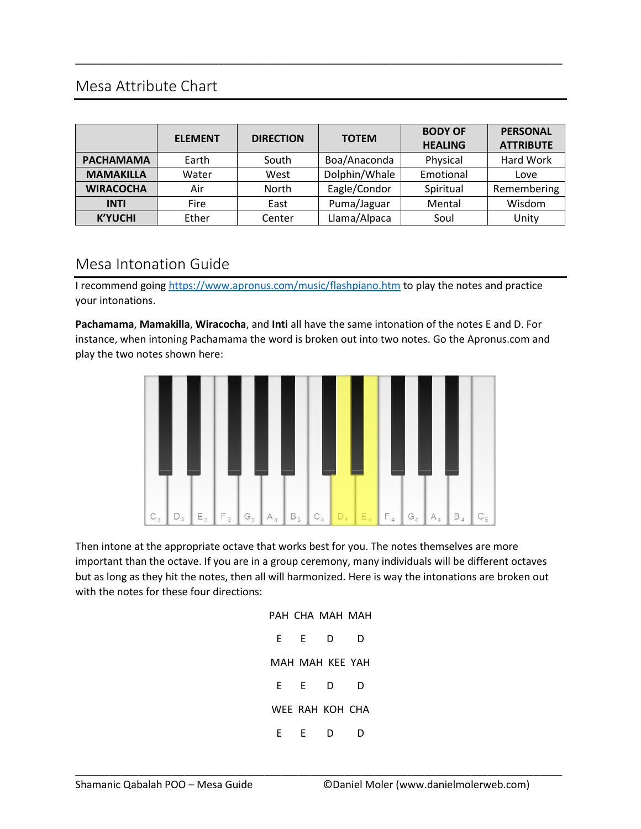## Mesa Attribute Chart

|                  | <b>ELEMENT</b> | <b>DIRECTION</b> | <b>TOTEM</b>  | <b>BODY OF</b><br><b>HEALING</b> | <b>PERSONAL</b><br><b>ATTRIBUTE</b> |
|------------------|----------------|------------------|---------------|----------------------------------|-------------------------------------|
| <b>PACHAMAMA</b> | Earth          | South            | Boa/Anaconda  | Physical                         | Hard Work                           |
| <b>MAMAKILLA</b> | Water          | West             | Dolphin/Whale | Emotional                        | Love                                |
| <b>WIRACOCHA</b> | Air            | <b>North</b>     | Eagle/Condor  | Spiritual                        | Remembering                         |
| <b>INTI</b>      | Fire           | East             | Puma/Jaguar   | Mental                           | Wisdom                              |
| <b>K'YUCHI</b>   | Ether          | Center           | Llama/Alpaca  | Soul                             | Unity                               |

\_\_\_\_\_\_\_\_\_\_\_\_\_\_\_\_\_\_\_\_\_\_\_\_\_\_\_\_\_\_\_\_\_\_\_\_\_\_\_\_\_\_\_\_\_\_\_\_\_\_\_\_\_\_\_\_\_\_\_\_\_\_\_\_\_\_\_\_\_\_\_\_\_\_\_\_\_\_\_\_\_\_\_\_\_

### Mesa Intonation Guide

I recommend going<https://www.apronus.com/music/flashpiano.htm> to play the notes and practice your intonations.

**Pachamama**, **Mamakilla**, **Wiracocha**, and **Inti** all have the same intonation of the notes E and D. For instance, when intoning Pachamama the word is broken out into two notes. Go the Apronus.com and play the two notes shown here:



Then intone at the appropriate octave that works best for you. The notes themselves are more important than the octave. If you are in a group ceremony, many individuals will be different octaves but as long as they hit the notes, then all will harmonized. Here is way the intonations are broken out with the notes for these four directions:

|    |   | PAH CHA MAH MAH |    |
|----|---|-----------------|----|
| F. | F | D               | D  |
|    |   | MAH MAH KEE YAH |    |
| F  | F | D               | D  |
|    |   | WEE RAH KOH CHA |    |
| F  | F | D               | נו |